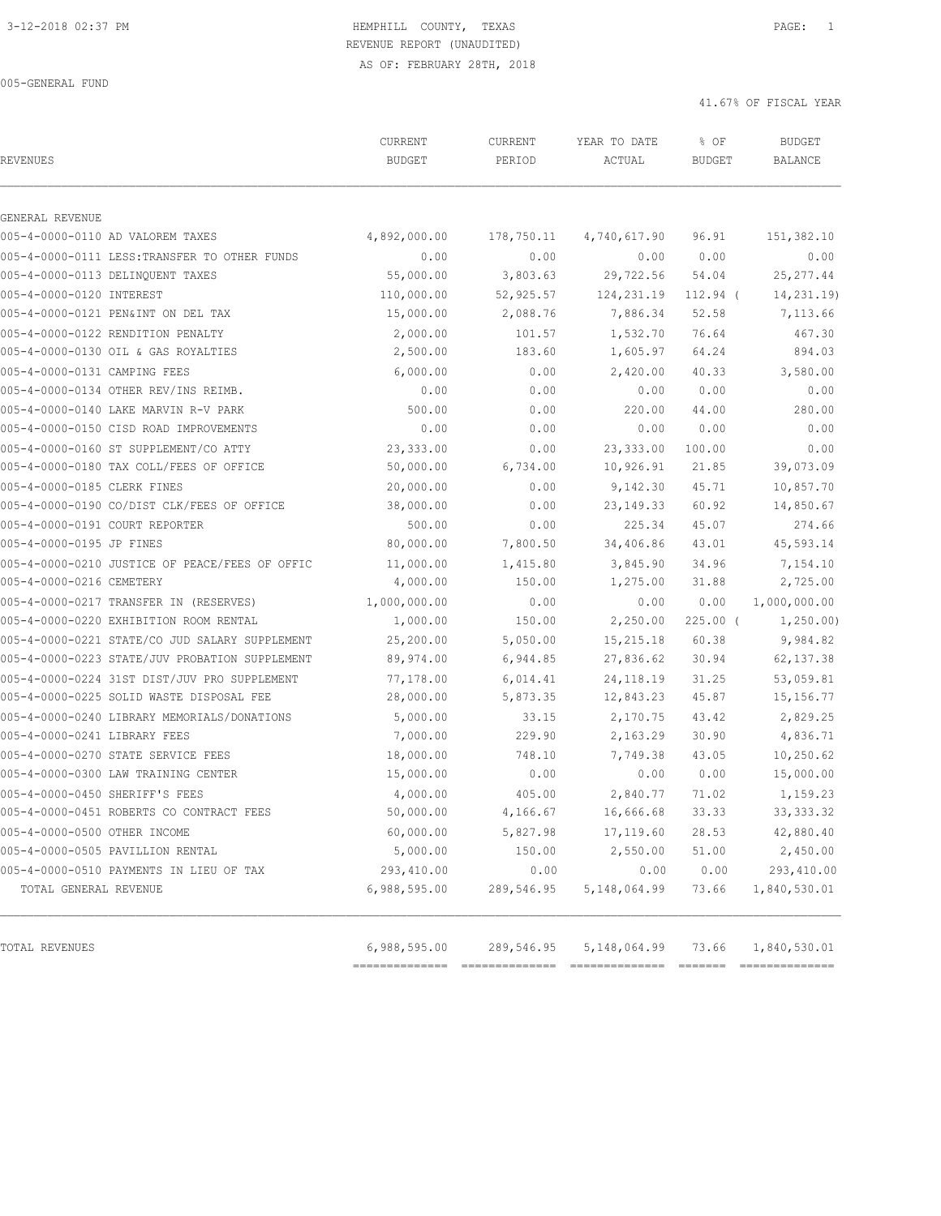# 3-12-2018 02:37 PM HEMPHILL COUNTY, TEXAS PAGE: 1 REVENUE REPORT (UNAUDITED)

AS OF: FEBRUARY 28TH, 2018

005-GENERAL FUND

| <b>REVENUES</b>                                | CURRENT<br><b>BUDGET</b> | CURRENT<br>PERIOD | YEAR TO DATE<br>ACTUAL | % OF<br><b>BUDGET</b> | <b>BUDGET</b><br>BALANCE |
|------------------------------------------------|--------------------------|-------------------|------------------------|-----------------------|--------------------------|
| GENERAL REVENUE                                |                          |                   |                        |                       |                          |
| 005-4-0000-0110 AD VALOREM TAXES               | 4,892,000.00             | 178,750.11        | 4,740,617.90           | 96.91                 | 151,382.10               |
| 005-4-0000-0111 LESS: TRANSFER TO OTHER FUNDS  | 0.00                     | 0.00              | 0.00                   | 0.00                  | 0.00                     |
| 005-4-0000-0113 DELINOUENT TAXES               | 55,000.00                | 3,803.63          | 29,722.56              | 54.04                 | 25, 277.44               |
| 005-4-0000-0120 INTEREST                       | 110,000.00               | 52,925.57         | 124, 231.19            | $112.94$ (            | 14,231.19)               |
| 005-4-0000-0121 PEN&INT ON DEL TAX             | 15,000.00                | 2,088.76          | 7,886.34               | 52.58                 | 7,113.66                 |
| 005-4-0000-0122 RENDITION PENALTY              | 2,000.00                 | 101.57            | 1,532.70               | 76.64                 | 467.30                   |
| 005-4-0000-0130 OIL & GAS ROYALTIES            | 2,500.00                 | 183.60            | 1,605.97               | 64.24                 | 894.03                   |
| 005-4-0000-0131 CAMPING FEES                   | 6,000.00                 | 0.00              | 2,420.00               | 40.33                 | 3,580.00                 |
| 005-4-0000-0134 OTHER REV/INS REIMB.           | 0.00                     | 0.00              | 0.00                   | 0.00                  | 0.00                     |
| 005-4-0000-0140 LAKE MARVIN R-V PARK           | 500.00                   | 0.00              | 220.00                 | 44.00                 | 280.00                   |
| 005-4-0000-0150 CISD ROAD IMPROVEMENTS         | 0.00                     | 0.00              | 0.00                   | 0.00                  | 0.00                     |
| 005-4-0000-0160 ST SUPPLEMENT/CO ATTY          | 23,333.00                | 0.00              | 23, 333.00             | 100.00                | 0.00                     |
| 005-4-0000-0180 TAX COLL/FEES OF OFFICE        | 50,000.00                | 6,734.00          | 10,926.91              | 21.85                 | 39,073.09                |
| 005-4-0000-0185 CLERK FINES                    | 20,000.00                | 0.00              | 9,142.30               | 45.71                 | 10,857.70                |
| 005-4-0000-0190 CO/DIST CLK/FEES OF OFFICE     | 38,000.00                | 0.00              | 23, 149. 33            | 60.92                 | 14,850.67                |
| 005-4-0000-0191 COURT REPORTER                 | 500.00                   | 0.00              | 225.34                 | 45.07                 | 274.66                   |
| 005-4-0000-0195 JP FINES                       | 80,000.00                | 7,800.50          | 34,406.86              | 43.01                 | 45,593.14                |
| 005-4-0000-0210 JUSTICE OF PEACE/FEES OF OFFIC | 11,000.00                | 1,415.80          | 3,845.90               | 34.96                 | 7,154.10                 |
| 005-4-0000-0216 CEMETERY                       | 4,000.00                 | 150.00            | 1,275.00               | 31.88                 | 2,725.00                 |
| 005-4-0000-0217 TRANSFER IN (RESERVES)         | 1,000,000.00             | 0.00              | 0.00                   | 0.00                  | 1,000,000.00             |
| 005-4-0000-0220 EXHIBITION ROOM RENTAL         | 1,000.00                 | 150.00            | 2,250.00               | $225.00$ (            | 1,250.00                 |
| 005-4-0000-0221 STATE/CO JUD SALARY SUPPLEMENT | 25,200.00                | 5,050.00          | 15, 215.18             | 60.38                 | 9,984.82                 |
| 005-4-0000-0223 STATE/JUV PROBATION SUPPLEMENT | 89,974.00                | 6,944.85          | 27,836.62              | 30.94                 | 62, 137.38               |
| 005-4-0000-0224 31ST DIST/JUV PRO SUPPLEMENT   | 77,178.00                | 6,014.41          | 24, 118.19             | 31.25                 | 53,059.81                |
| 005-4-0000-0225 SOLID WASTE DISPOSAL FEE       | 28,000.00                | 5,873.35          | 12,843.23              | 45.87                 | 15, 156. 77              |
| 005-4-0000-0240 LIBRARY MEMORIALS/DONATIONS    | 5,000.00                 | 33.15             | 2,170.75               | 43.42                 | 2,829.25                 |
| 005-4-0000-0241 LIBRARY FEES                   | 7,000.00                 | 229.90            | 2,163.29               | 30.90                 | 4,836.71                 |
| 005-4-0000-0270 STATE SERVICE FEES             | 18,000.00                | 748.10            | 7,749.38               | 43.05                 | 10,250.62                |
| 005-4-0000-0300 LAW TRAINING CENTER            | 15,000.00                | 0.00              | 0.00                   | 0.00                  | 15,000.00                |
| 005-4-0000-0450 SHERIFF'S FEES                 | 4,000.00                 | 405.00            | 2,840.77               | 71.02                 | 1,159.23                 |
| 005-4-0000-0451 ROBERTS CO CONTRACT FEES       | 50,000.00                | 4,166.67          | 16,666.68              | 33.33                 | 33, 333.32               |
| 005-4-0000-0500 OTHER INCOME                   | 60,000.00                | 5,827.98          | 17, 119.60             | 28.53                 | 42,880.40                |
| 005-4-0000-0505 PAVILLION RENTAL               | 5,000.00                 | 150.00            | 2,550.00               | 51.00                 | 2,450.00                 |
| 005-4-0000-0510 PAYMENTS IN LIEU OF TAX        | 293,410.00               | 0.00              | 0.00                   | 0.00                  | 293,410.00               |
| TOTAL GENERAL REVENUE                          | 6,988,595.00             | 289,546.95        | 5,148,064.99           | 73.66                 | 1,840,530.01             |
| TOTAL REVENUES                                 | 6,988,595.00             | 289,546.95        | 5, 148, 064.99         | 73.66                 | 1,840,530.01             |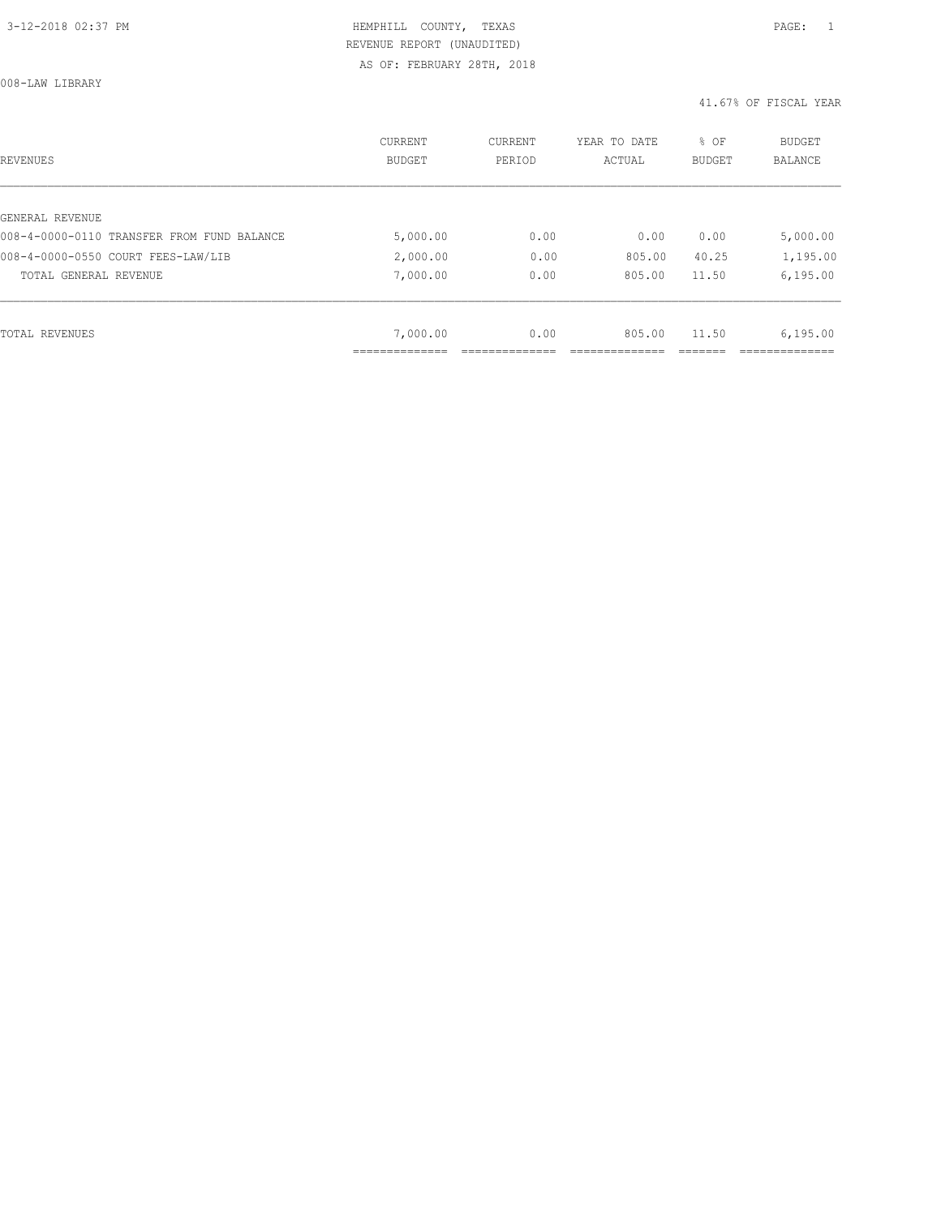008-LAW LIBRARY

| REVENUES                                   | <b>CURRENT</b><br><b>BUDGET</b> | CURRENT<br>PERIOD | YEAR TO DATE<br>ACTUAL | % OF<br><b>BUDGET</b> | BUDGET<br><b>BALANCE</b> |
|--------------------------------------------|---------------------------------|-------------------|------------------------|-----------------------|--------------------------|
|                                            |                                 |                   |                        |                       |                          |
| GENERAL REVENUE                            |                                 |                   |                        |                       |                          |
| 008-4-0000-0110 TRANSFER FROM FUND BALANCE | 5,000.00                        | 0.00              | 0.00                   | 0.00                  | 5,000.00                 |
| 008-4-0000-0550 COURT FEES-LAW/LIB         | 2,000.00                        | 0.00              | 805.00                 | 40.25                 | 1,195.00                 |
| TOTAL GENERAL REVENUE                      | 7,000.00                        | 0.00              | 805.00                 | 11.50                 | 6, 195.00                |
|                                            |                                 |                   |                        |                       |                          |
| TOTAL REVENUES                             | 7,000.00                        | 0.00              | 805.00                 | 11.50                 | 6, 195.00                |
|                                            |                                 |                   |                        |                       |                          |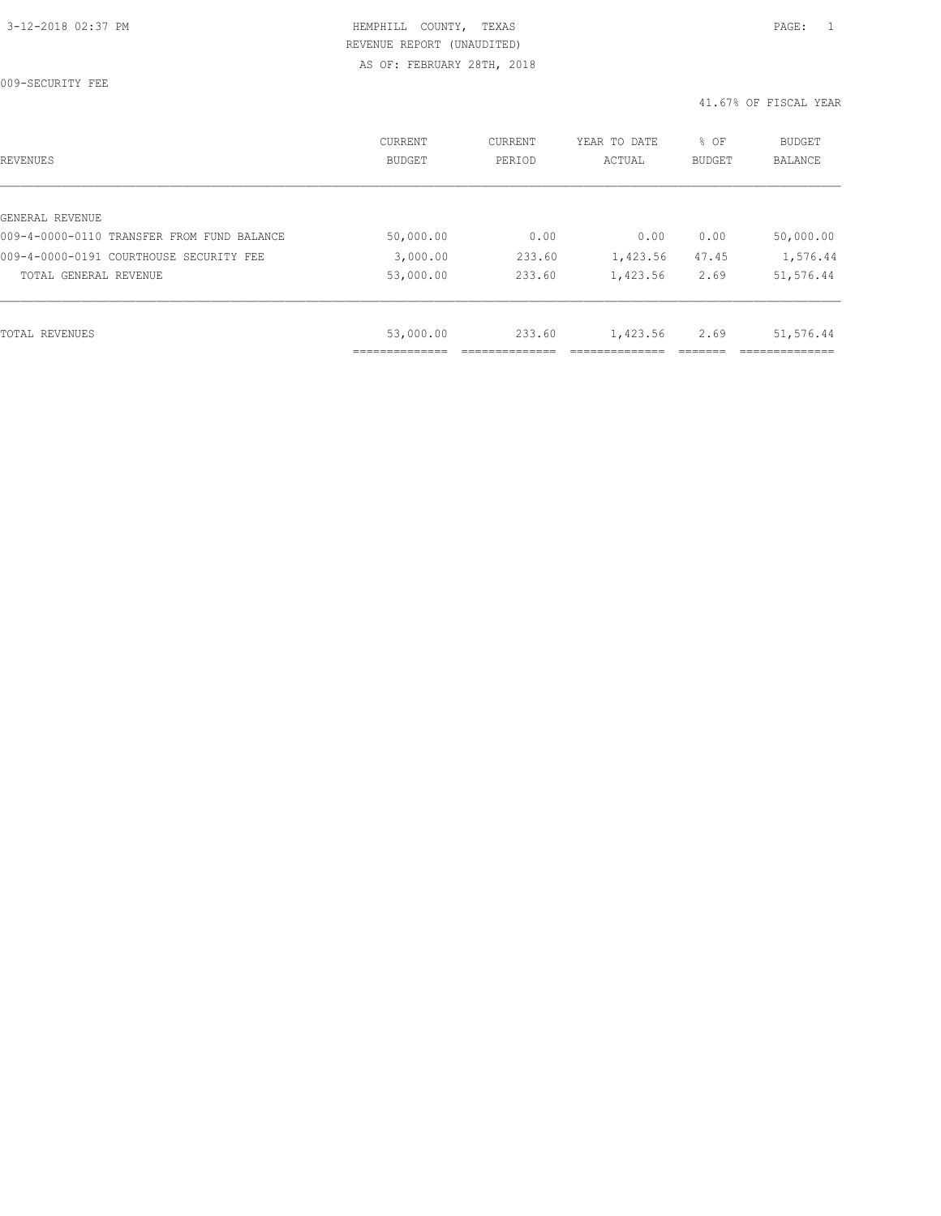009-SECURITY FEE

| REVENUES                                   | CURRENT<br><b>BUDGET</b> | CURRENT<br>PERIOD | YEAR TO DATE<br>ACTUAL | % OF<br>BUDGET | <b>BUDGET</b><br><b>BALANCE</b> |
|--------------------------------------------|--------------------------|-------------------|------------------------|----------------|---------------------------------|
|                                            |                          |                   |                        |                |                                 |
| GENERAL REVENUE                            |                          |                   |                        |                |                                 |
| 009-4-0000-0110 TRANSFER FROM FUND BALANCE | 50,000.00                | 0.00              | 0.00                   | 0.00           | 50,000.00                       |
| 009-4-0000-0191 COURTHOUSE SECURITY FEE    | 3,000.00                 | 233.60            | 1,423.56               | 47.45          | 1,576.44                        |
| TOTAL GENERAL REVENUE                      | 53,000.00                | 233.60            | 1,423.56               | 2.69           | 51,576.44                       |
|                                            |                          |                   |                        |                |                                 |
| TOTAL REVENUES                             | 53,000.00                | 233.60            | 1,423.56               | 2.69           | 51,576.44                       |
|                                            |                          |                   |                        |                |                                 |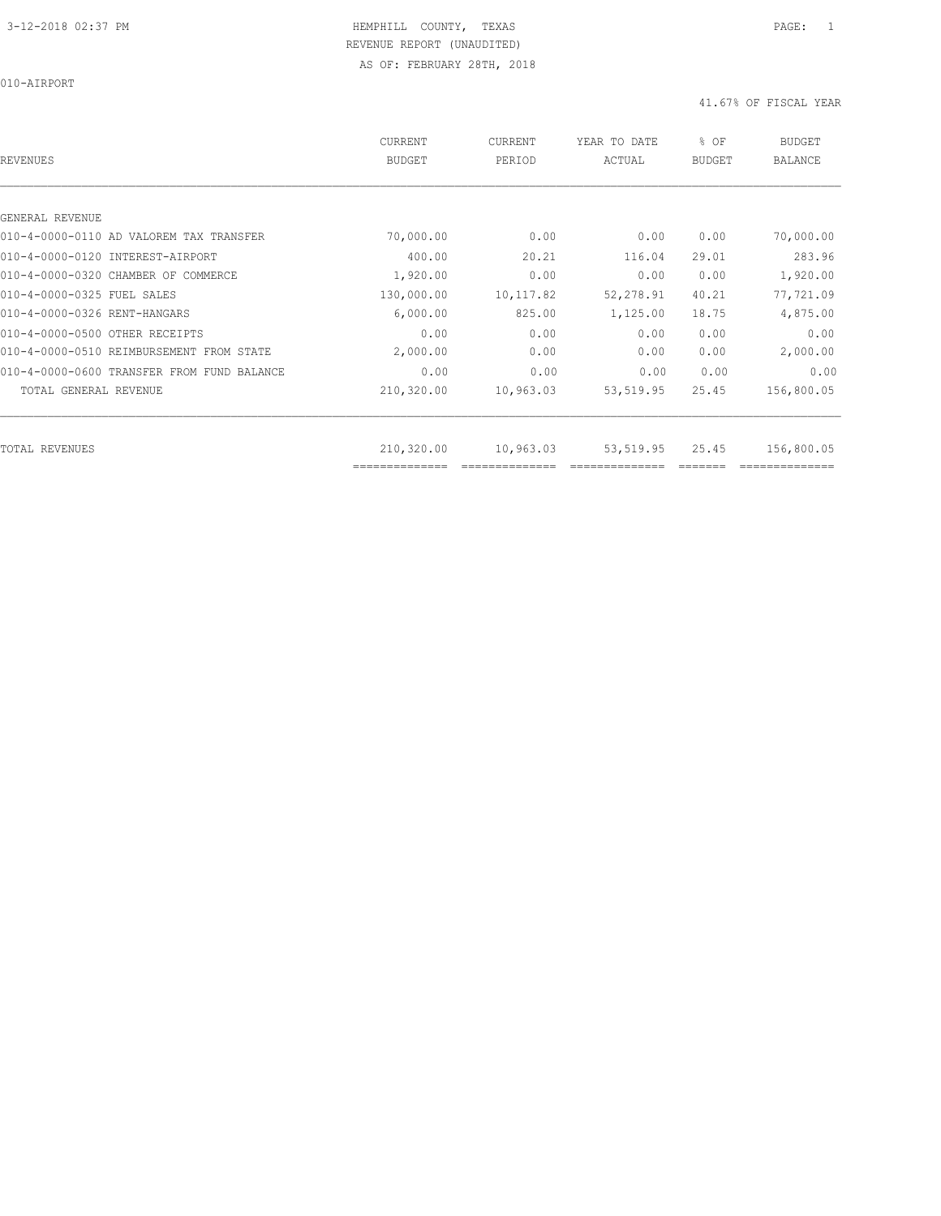010-AIRPORT

| REVENUES                                   | <b>CURRENT</b><br><b>BUDGET</b> | CURRENT<br>PERIOD | YEAR TO DATE<br>ACTUAL | % OF<br><b>BUDGET</b> | <b>BUDGET</b><br><b>BALANCE</b> |
|--------------------------------------------|---------------------------------|-------------------|------------------------|-----------------------|---------------------------------|
|                                            |                                 |                   |                        |                       |                                 |
| GENERAL REVENUE                            |                                 |                   |                        |                       |                                 |
| 010-4-0000-0110 AD VALOREM TAX TRANSFER    | 70,000.00                       | 0.00              | 0.00                   | 0.00                  | 70,000.00                       |
| 010-4-0000-0120 INTEREST-AIRPORT           | 400.00                          | 20.21             | 116.04                 | 29.01                 | 283.96                          |
| 010-4-0000-0320 CHAMBER OF COMMERCE        | 1,920.00                        | 0.00              | 0.00                   | 0.00                  | 1,920.00                        |
| 010-4-0000-0325 FUEL SALES                 | 130,000.00                      | 10,117.82         | 52, 278.91             | 40.21                 | 77,721.09                       |
| 010-4-0000-0326 RENT-HANGARS               | 6,000.00                        | 825.00            | 1,125.00               | 18.75                 | 4,875.00                        |
| 010-4-0000-0500 OTHER RECEIPTS             | 0.00                            | 0.00              | 0.00                   | 0.00                  | 0.00                            |
| 010-4-0000-0510 REIMBURSEMENT FROM STATE   | 2,000.00                        | 0.00              | 0.00                   | 0.00                  | 2,000.00                        |
| 010-4-0000-0600 TRANSFER FROM FUND BALANCE | 0.00                            | 0.00              | 0.00                   | 0.00                  | 0.00                            |
| TOTAL GENERAL REVENUE                      | 210,320.00                      | 10,963.03         | 53,519.95              | 25.45                 | 156,800.05                      |
|                                            |                                 |                   |                        |                       |                                 |
| TOTAL REVENUES                             | 210,320.00<br>--------------    | 10,963.03         | 53,519.95              | 25.45                 | 156,800.05                      |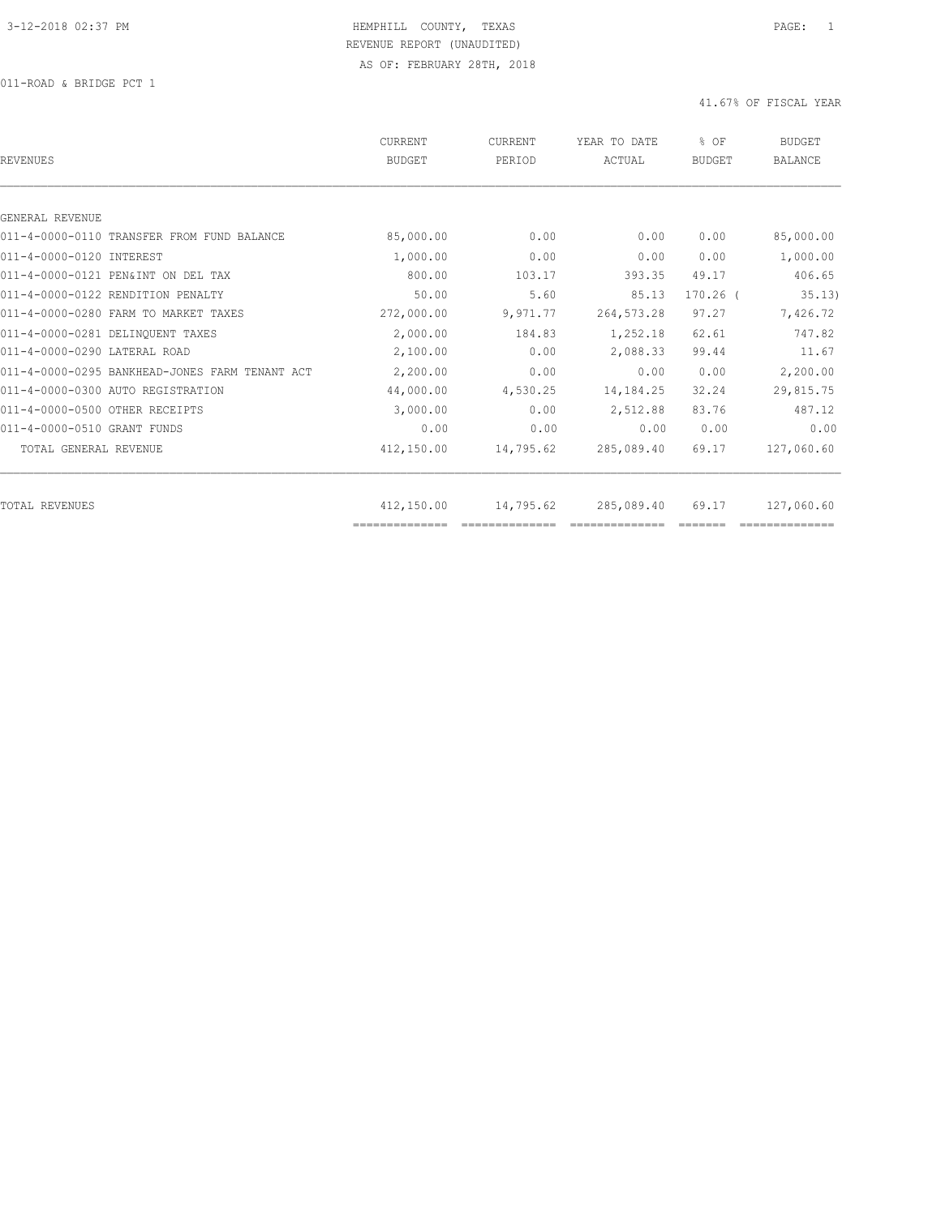011-ROAD & BRIDGE PCT 1

| REVENUES                                       | CURRENT<br><b>BUDGET</b> | CURRENT<br>PERIOD | YEAR TO DATE<br>ACTUAL | % OF<br>BUDGET | <b>BUDGET</b><br><b>BALANCE</b> |
|------------------------------------------------|--------------------------|-------------------|------------------------|----------------|---------------------------------|
|                                                |                          |                   |                        |                |                                 |
| GENERAL REVENUE                                |                          |                   |                        |                |                                 |
| 011-4-0000-0110 TRANSFER FROM FUND BALANCE     | 85,000.00                | 0.00              | 0.00                   | 0.00           | 85,000.00                       |
| 011-4-0000-0120 INTEREST                       | 1,000.00                 | 0.00              | 0.00                   | 0.00           | 1,000.00                        |
| 011-4-0000-0121 PEN&INT ON DEL TAX             | 800.00                   | 103.17            | 393.35                 | 49.17          | 406.65                          |
| 011-4-0000-0122 RENDITION PENALTY              | 50.00                    | 5.60              | 85.13                  | $170.26$ $($   | 35.13)                          |
| 011-4-0000-0280 FARM TO MARKET TAXES           | 272,000.00               | 9,971.77          | 264, 573. 28           | 97.27          | 7,426.72                        |
| 011-4-0000-0281 DELINQUENT TAXES               | 2,000.00                 | 184.83            | 1,252.18               | 62.61          | 747.82                          |
| 011-4-0000-0290 LATERAL ROAD                   | 2,100.00                 | 0.00              | 2,088.33               | 99.44          | 11.67                           |
| 011-4-0000-0295 BANKHEAD-JONES FARM TENANT ACT | 2,200.00                 | 0.00              | 0.00                   | 0.00           | 2,200.00                        |
| 011-4-0000-0300 AUTO REGISTRATION              | 44,000.00                | 4,530.25          | 14, 184. 25            | 32.24          | 29,815.75                       |
| 011-4-0000-0500 OTHER RECEIPTS                 | 3,000.00                 | 0.00              | 2,512.88               | 83.76          | 487.12                          |
| 011-4-0000-0510 GRANT FUNDS                    | 0.00                     | 0.00              | 0.00                   | 0.00           | 0.00                            |
| TOTAL GENERAL REVENUE                          | 412,150.00               | 14,795.62         | 285,089.40             | 69.17          | 127,060.60                      |
|                                                |                          |                   |                        |                |                                 |
| TOTAL REVENUES                                 | 412,150.00               | 14,795.62         | 285,089.40             | 69.17          | 127,060.60                      |
|                                                | ==============           |                   |                        |                |                                 |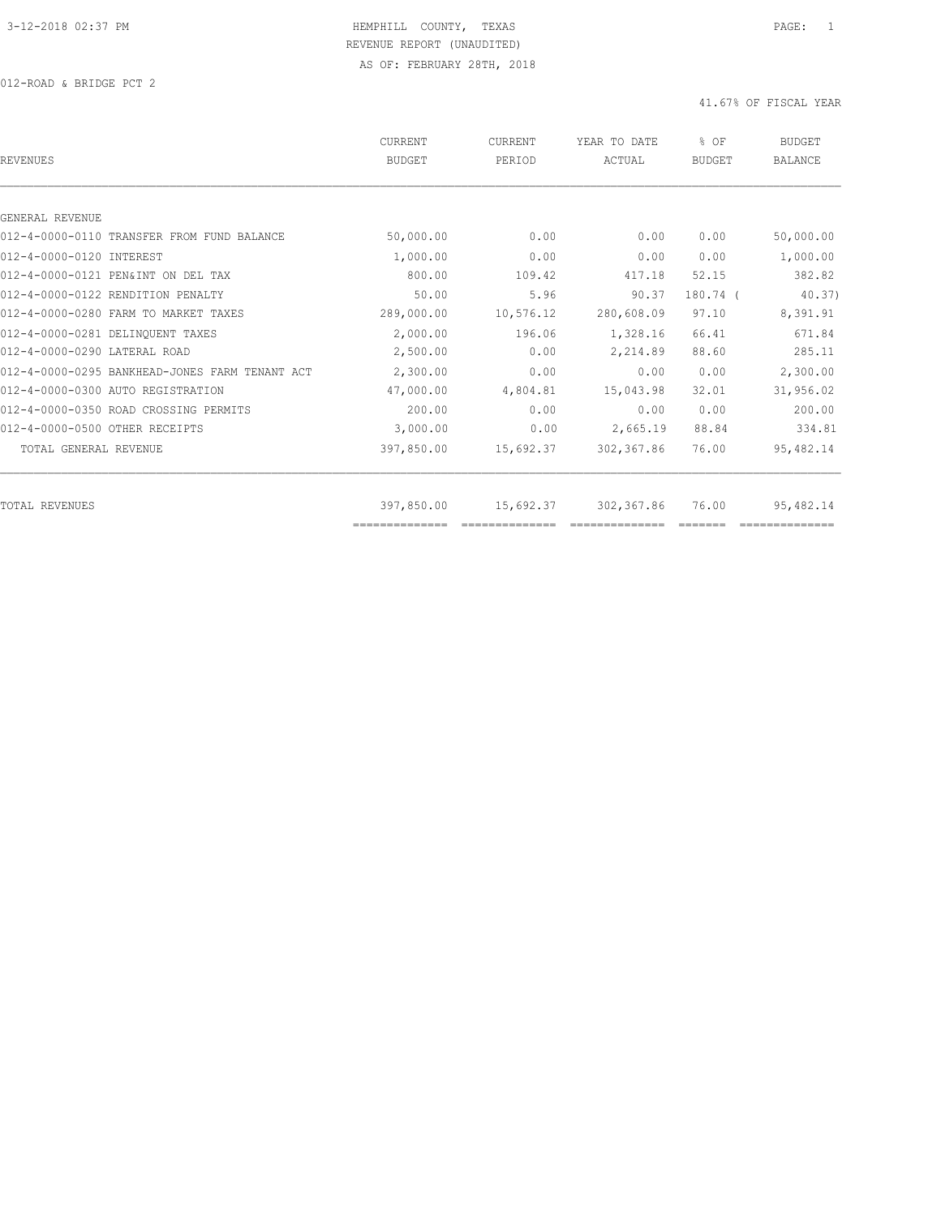| <b>REVENUES</b>                                | <b>CURRENT</b><br><b>BUDGET</b> | <b>CURRENT</b><br>PERIOD | YEAR TO DATE<br>ACTUAL | % OF<br><b>BUDGET</b> | <b>BUDGET</b><br>BALANCE |
|------------------------------------------------|---------------------------------|--------------------------|------------------------|-----------------------|--------------------------|
|                                                |                                 |                          |                        |                       |                          |
| GENERAL REVENUE                                |                                 |                          |                        |                       |                          |
| 012-4-0000-0110 TRANSFER FROM FUND BALANCE     | 50,000.00                       | 0.00                     | 0.00                   | 0.00                  | 50,000.00                |
| 012-4-0000-0120 INTEREST                       | 1,000.00                        | 0.00                     | 0.00                   | 0.00                  | 1,000.00                 |
| 012-4-0000-0121 PEN&INT ON DEL TAX             | 800.00                          | 109.42                   | 417.18                 | 52.15                 | 382.82                   |
| 012-4-0000-0122 RENDITION PENALTY              | 50.00                           | 5.96                     | 90.37                  | $180.74$ (            | 40.37                    |
| 012-4-0000-0280 FARM TO MARKET TAXES           | 289,000.00                      | 10,576.12                | 280,608.09             | 97.10                 | 8,391.91                 |
| 012-4-0000-0281 DELINQUENT TAXES               | 2,000.00                        | 196.06                   | 1,328.16               | 66.41                 | 671.84                   |
| 012-4-0000-0290 LATERAL ROAD                   | 2,500.00                        | 0.00                     | 2,214.89               | 88.60                 | 285.11                   |
| 012-4-0000-0295 BANKHEAD-JONES FARM TENANT ACT | 2,300.00                        | 0.00                     | 0.00                   | 0.00                  | 2,300.00                 |
| 012-4-0000-0300 AUTO REGISTRATION              | 47,000.00                       | 4,804.81                 | 15,043.98              | 32.01                 | 31,956.02                |
| 012-4-0000-0350 ROAD CROSSING PERMITS          | 200.00                          | 0.00                     | 0.00                   | 0.00                  | 200.00                   |
| 012-4-0000-0500 OTHER RECEIPTS                 | 3,000.00                        | 0.00                     | 2,665.19               | 88.84                 | 334.81                   |
| TOTAL GENERAL REVENUE                          | 397,850.00                      | 15,692.37                | 302,367.86             | 76.00                 | 95,482.14                |
| TOTAL REVENUES                                 | 397,850.00                      | 15,692.37                | 302,367.86             | 76.00                 | 95,482.14                |
|                                                |                                 |                          |                        |                       |                          |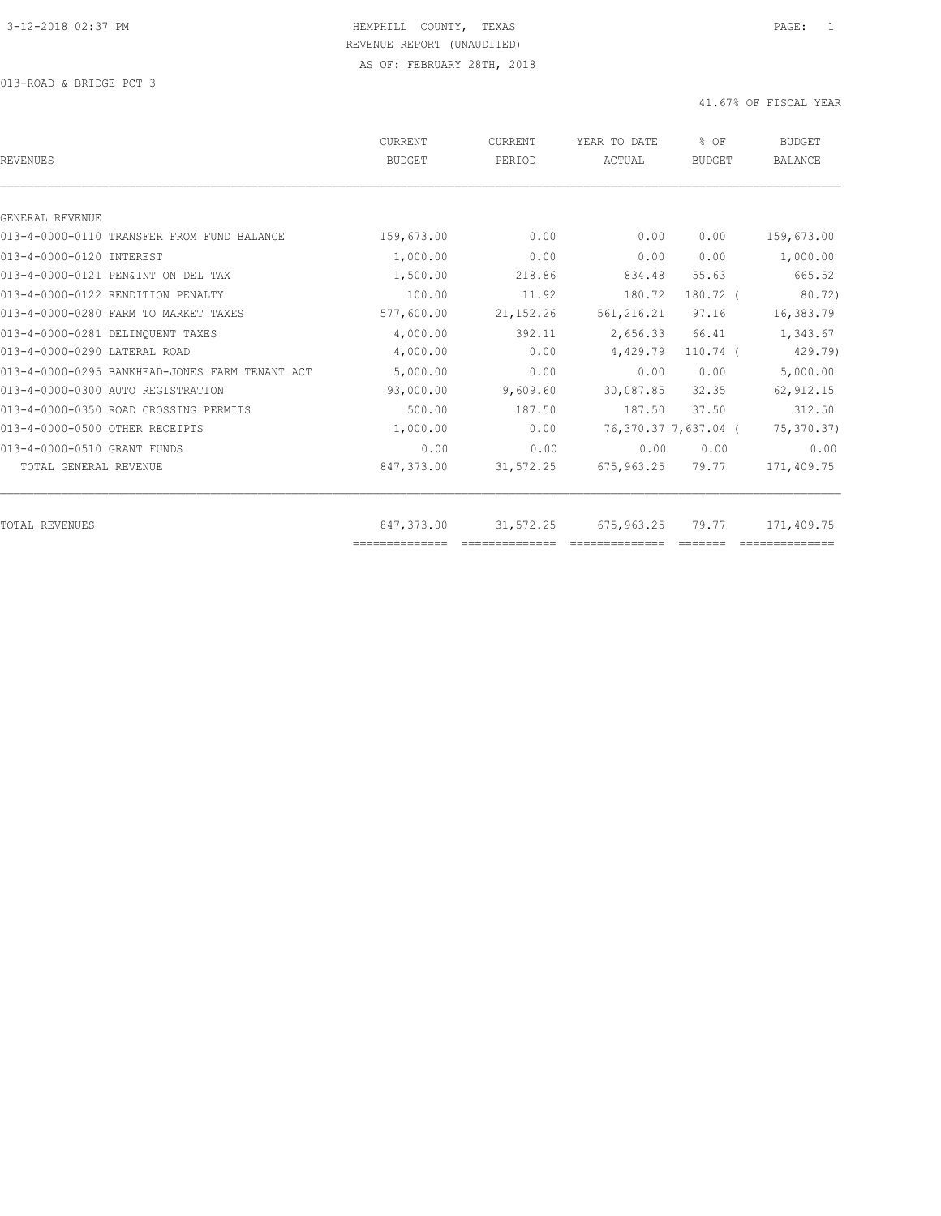013-ROAD & BRIDGE PCT 3

| REVENUES                                       | CURRENT<br><b>BUDGET</b> | CURRENT<br>PERIOD | YEAR TO DATE<br>ACTUAL | % OF<br><b>BUDGET</b> | <b>BUDGET</b><br><b>BALANCE</b> |
|------------------------------------------------|--------------------------|-------------------|------------------------|-----------------------|---------------------------------|
|                                                |                          |                   |                        |                       |                                 |
| GENERAL REVENUE                                |                          |                   |                        |                       |                                 |
| 013-4-0000-0110 TRANSFER FROM FUND BALANCE     | 159,673.00               | 0.00              | 0.00                   | 0.00                  | 159,673.00                      |
| 013-4-0000-0120 INTEREST                       | 1,000.00                 | 0.00              | 0.00                   | 0.00                  | 1,000.00                        |
| 013-4-0000-0121 PEN&INT ON DEL TAX             | 1,500.00                 | 218.86            | 834.48                 | 55.63                 | 665.52                          |
| 013-4-0000-0122 RENDITION PENALTY              | 100.00                   | 11.92             | 180.72                 | $180.72$ (            | 80.72)                          |
| 013-4-0000-0280 FARM TO MARKET TAXES           | 577,600.00               | 21, 152. 26       | 561, 216.21            | 97.16                 | 16,383.79                       |
| 013-4-0000-0281 DELINQUENT TAXES               | 4,000.00                 | 392.11            | 2,656.33               | 66.41                 | 1,343.67                        |
| 013-4-0000-0290 LATERAL ROAD                   | 4,000.00                 | 0.00              | 4,429.79               | $110.74$ (            | 429.79)                         |
| 013-4-0000-0295 BANKHEAD-JONES FARM TENANT ACT | 5,000.00                 | 0.00              | 0.00                   | 0.00                  | 5,000.00                        |
| 013-4-0000-0300 AUTO REGISTRATION              | 93,000.00                | 9,609.60          | 30,087.85              | 32.35                 | 62, 912.15                      |
| 013-4-0000-0350 ROAD CROSSING PERMITS          | 500.00                   | 187.50            | 187.50                 | 37.50                 | 312.50                          |
| 013-4-0000-0500 OTHER RECEIPTS                 | 1,000.00                 | 0.00              |                        | 76,370.37 7,637.04 (  | 75,370.37)                      |
| 013-4-0000-0510 GRANT FUNDS                    | 0.00                     | 0.00              | 0.00                   | 0.00                  | 0.00                            |
| TOTAL GENERAL REVENUE                          | 847,373.00               | 31,572.25         | 675,963.25             | 79.77                 | 171,409.75                      |
| TOTAL REVENUES                                 | 847,373.00               | 31,572.25         | 675,963.25             | 79.77                 | 171,409.75                      |
|                                                | ==============           |                   | ==============         |                       |                                 |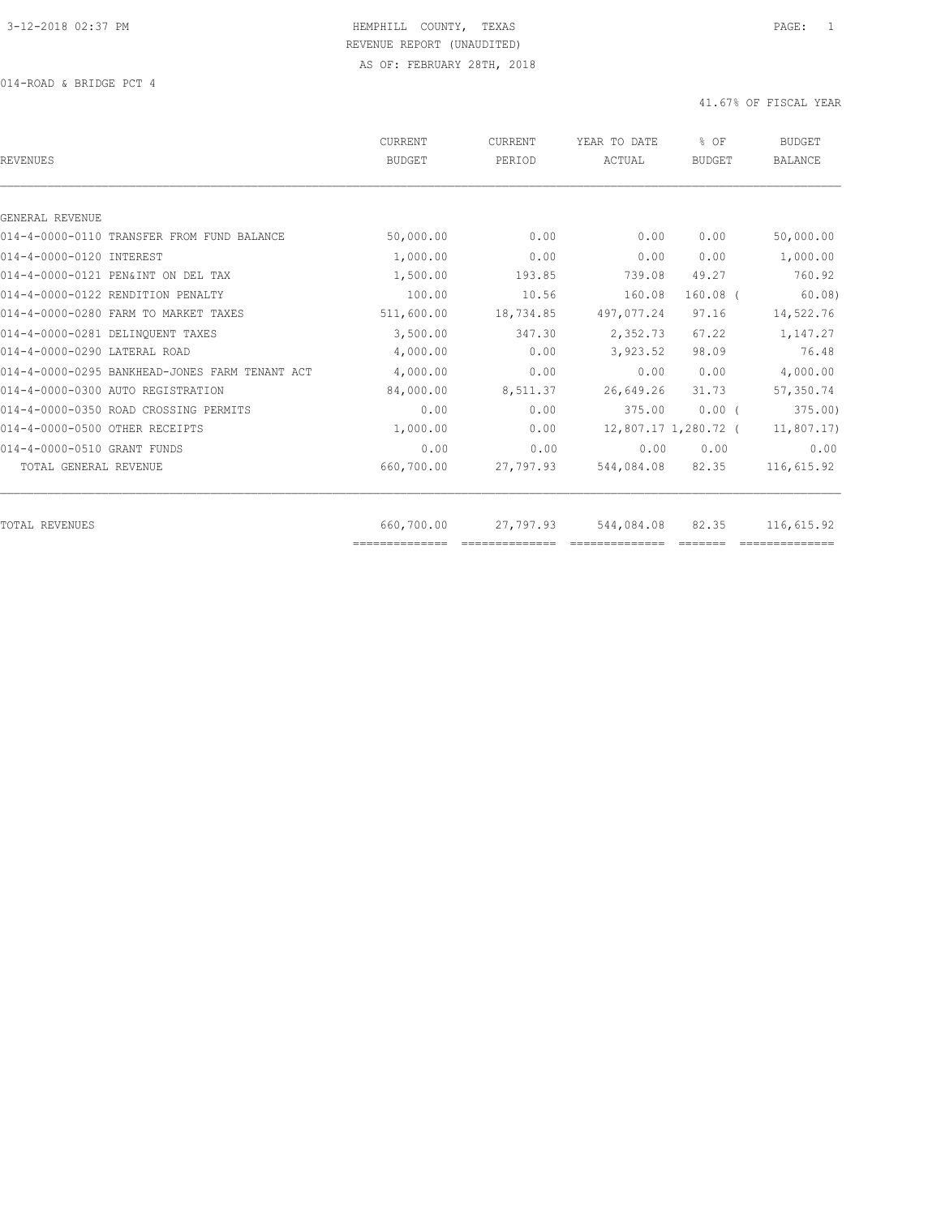014-ROAD & BRIDGE PCT 4

| REVENUES                                       | CURRENT<br><b>BUDGET</b> | CURRENT<br>PERIOD | YEAR TO DATE<br>ACTUAL | % OF<br>BUDGET | <b>BUDGET</b><br><b>BALANCE</b> |
|------------------------------------------------|--------------------------|-------------------|------------------------|----------------|---------------------------------|
|                                                |                          |                   |                        |                |                                 |
| GENERAL REVENUE                                |                          |                   |                        |                |                                 |
| 014-4-0000-0110 TRANSFER FROM FUND BALANCE     | 50,000.00                | 0.00              | 0.00                   | 0.00           | 50,000.00                       |
| 014-4-0000-0120 INTEREST                       | 1,000.00                 | 0.00              | 0.00                   | 0.00           | 1,000.00                        |
| 014-4-0000-0121 PEN&INT ON DEL TAX             | 1,500.00                 | 193.85            | 739.08                 | 49.27          | 760.92                          |
| 014-4-0000-0122 RENDITION PENALTY              | 100.00                   | 10.56             | 160.08                 | $160.08$ (     | 60.08                           |
| 014-4-0000-0280 FARM TO MARKET TAXES           | 511,600.00               | 18,734.85         | 497,077.24             | 97.16          | 14,522.76                       |
| 014-4-0000-0281 DELINOUENT TAXES               | 3,500.00                 | 347.30            | 2,352.73               | 67.22          | 1,147.27                        |
| 014-4-0000-0290 LATERAL ROAD                   | 4,000.00                 | 0.00              | 3,923.52               | 98.09          | 76.48                           |
| 014-4-0000-0295 BANKHEAD-JONES FARM TENANT ACT | 4,000.00                 | 0.00              | 0.00                   | 0.00           | 4,000.00                        |
| 014-4-0000-0300 AUTO REGISTRATION              | 84,000.00                | 8,511.37          | 26,649.26              | 31.73          | 57,350.74                       |
| 014-4-0000-0350 ROAD CROSSING PERMITS          | 0.00                     | 0.00              | 375.00                 | $0.00$ (       | 375.00                          |
| 014-4-0000-0500 OTHER RECEIPTS                 | 1,000.00                 | 0.00              | 12,807.17 1,280.72 (   |                | 11,807.17                       |
| 014-4-0000-0510 GRANT FUNDS                    | 0.00                     | 0.00              | 0.00                   | 0.00           | 0.00                            |
| TOTAL GENERAL REVENUE                          | 660,700.00               | 27,797.93         | 544,084.08             | 82.35          | 116,615.92                      |
| TOTAL REVENUES                                 | 660,700.00               | 27,797.93         | 544,084.08             | 82.35          | 116,615.92                      |
|                                                | ==============           |                   |                        |                |                                 |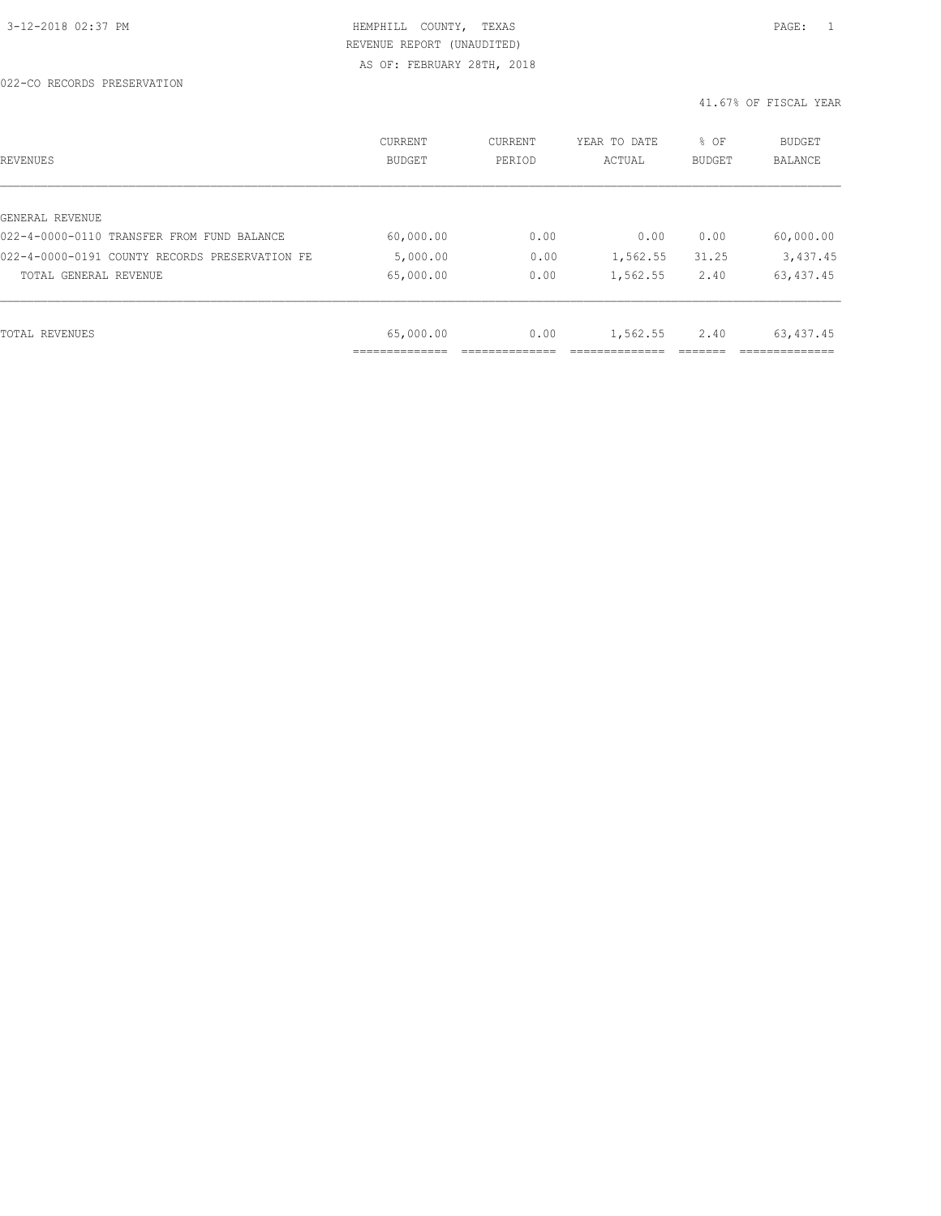022-CO RECORDS PRESERVATION

| REVENUES                                       | CURRENT<br><b>BUDGET</b> | CURRENT<br>PERIOD | YEAR TO DATE<br>ACTUAL | % OF<br>BUDGET | <b>BUDGET</b><br><b>BALANCE</b> |
|------------------------------------------------|--------------------------|-------------------|------------------------|----------------|---------------------------------|
|                                                |                          |                   |                        |                |                                 |
| GENERAL REVENUE                                |                          |                   |                        |                |                                 |
| 022-4-0000-0110 TRANSFER FROM FUND BALANCE     | 60,000.00                | 0.00              | 0.00                   | 0.00           | 60,000.00                       |
| 022-4-0000-0191 COUNTY RECORDS PRESERVATION FE | 5,000.00                 | 0.00              | 1,562.55               | 31.25          | 3,437.45                        |
| TOTAL GENERAL REVENUE                          | 65,000.00                | 0.00              | 1,562.55               | 2.40           | 63, 437.45                      |
|                                                |                          |                   |                        |                |                                 |
| TOTAL REVENUES                                 | 65,000.00                | 0.00              | 1,562.55               | 2.40           | 63, 437.45                      |
|                                                |                          |                   |                        |                |                                 |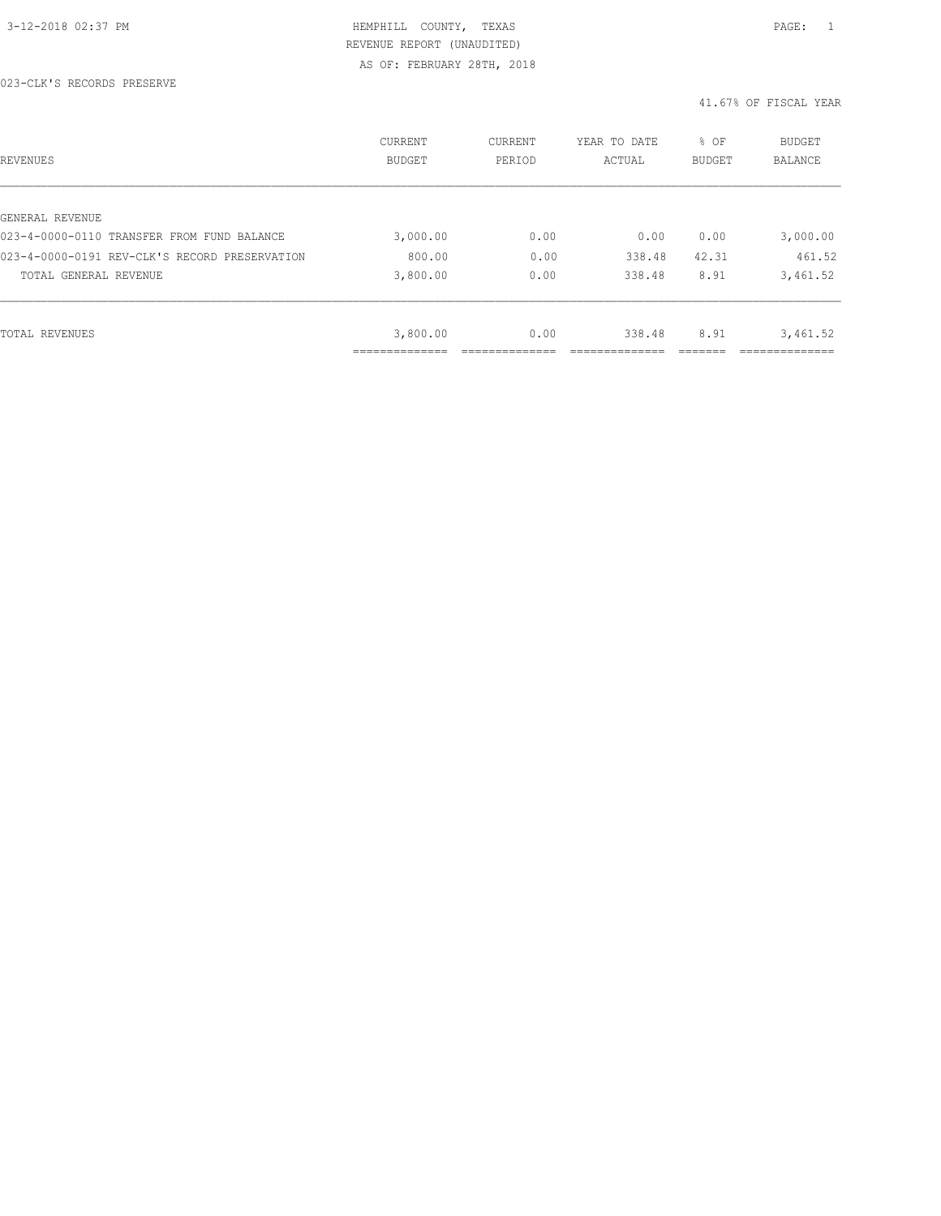#### 023-CLK'S RECORDS PRESERVE

| REVENUES                                      | <b>CURRENT</b><br><b>BUDGET</b> | CURRENT<br>PERIOD | YEAR TO DATE<br>ACTUAL | % OF<br><b>BUDGET</b> | BUDGET<br><b>BALANCE</b> |
|-----------------------------------------------|---------------------------------|-------------------|------------------------|-----------------------|--------------------------|
|                                               |                                 |                   |                        |                       |                          |
| GENERAL REVENUE                               |                                 |                   |                        |                       |                          |
| 023-4-0000-0110 TRANSFER FROM FUND BALANCE    | 3,000.00                        | 0.00              | 0.00                   | 0.00                  | 3,000.00                 |
| 023-4-0000-0191 REV-CLK'S RECORD PRESERVATION | 800.00                          | 0.00              | 338.48                 | 42.31                 | 461.52                   |
| TOTAL GENERAL REVENUE                         | 3,800.00                        | 0.00              | 338.48                 | 8.91                  | 3,461.52                 |
|                                               |                                 |                   |                        |                       |                          |
| TOTAL REVENUES                                | 3,800.00                        | 0.00              | 338.48                 | 8.91                  | 3,461.52                 |
|                                               |                                 |                   |                        |                       |                          |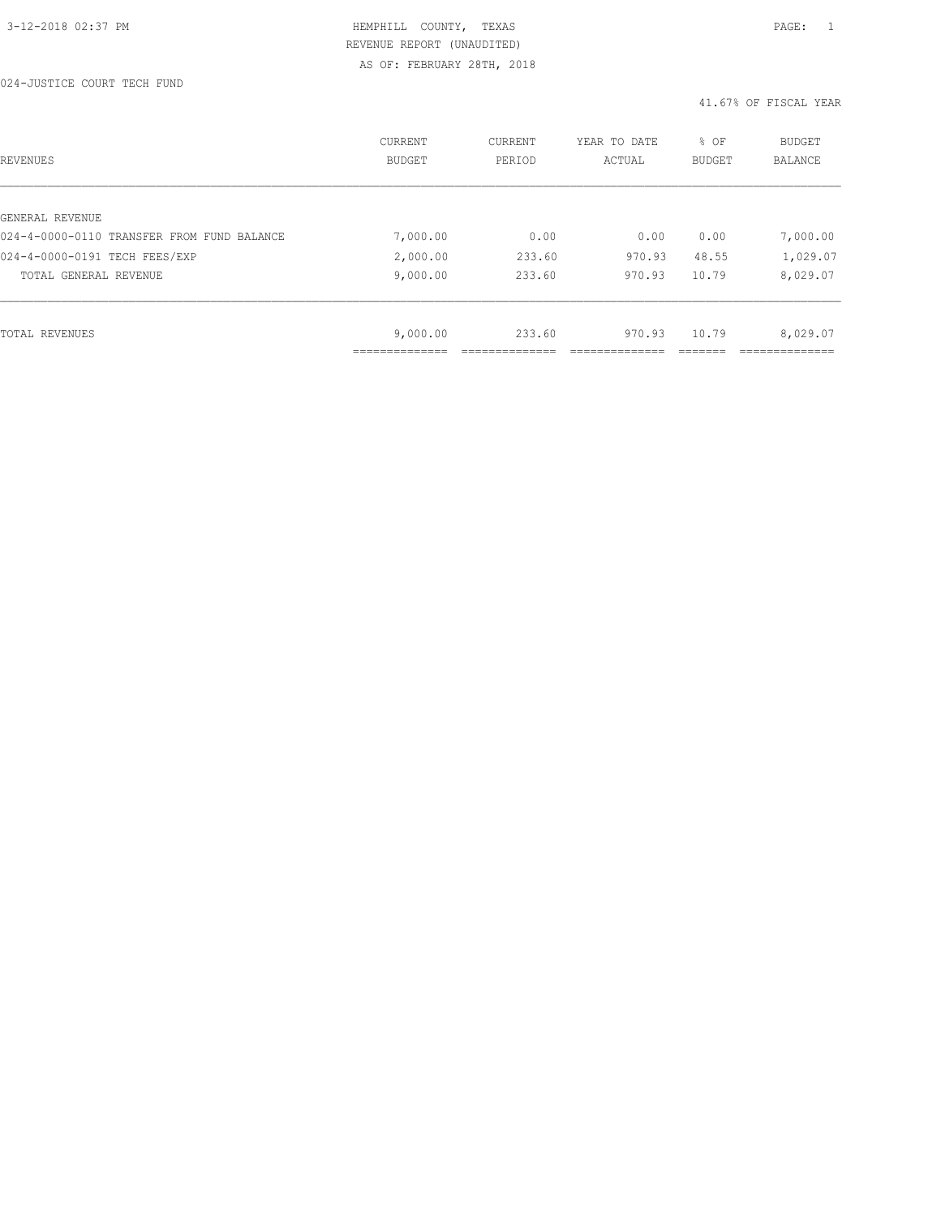024-JUSTICE COURT TECH FUND

| REVENUES                                   | CURRENT<br><b>BUDGET</b> | CURRENT<br>PERIOD | YEAR TO DATE<br>ACTUAL | % OF<br>BUDGET | BUDGET<br><b>BALANCE</b> |
|--------------------------------------------|--------------------------|-------------------|------------------------|----------------|--------------------------|
|                                            |                          |                   |                        |                |                          |
| GENERAL REVENUE                            |                          |                   |                        |                |                          |
| 024-4-0000-0110 TRANSFER FROM FUND BALANCE | 7,000.00                 | 0.00              | 0.00                   | 0.00           | 7,000.00                 |
| 024-4-0000-0191 TECH FEES/EXP              | 2,000.00                 | 233.60            | 970.93                 | 48.55          | 1,029.07                 |
| TOTAL GENERAL REVENUE                      | 9,000.00                 | 233.60            | 970.93                 | 10.79          | 8,029.07                 |
|                                            |                          |                   |                        |                |                          |
| TOTAL REVENUES                             | 9,000.00                 | 233.60            | 970.93                 | 10.79          | 8,029.07                 |
|                                            |                          |                   |                        |                |                          |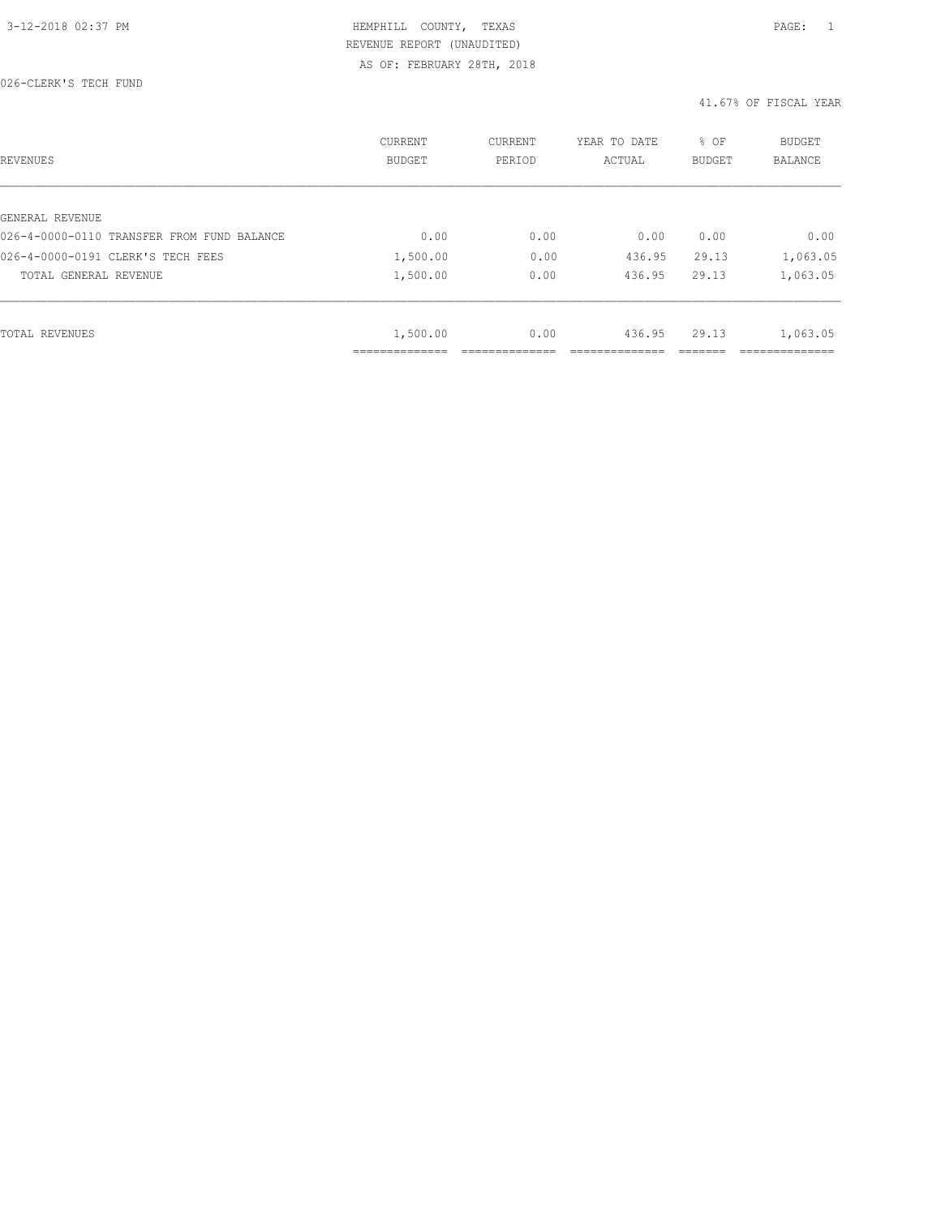026-CLERK'S TECH FUND

| REVENUES                                   | CURRENT<br><b>BUDGET</b> | CURRENT<br>PERIOD | YEAR TO DATE<br>ACTUAL | % OF<br>BUDGET | BUDGET<br><b>BALANCE</b> |
|--------------------------------------------|--------------------------|-------------------|------------------------|----------------|--------------------------|
|                                            |                          |                   |                        |                |                          |
| GENERAL REVENUE                            |                          |                   |                        |                |                          |
| 026-4-0000-0110 TRANSFER FROM FUND BALANCE | 0.00                     | 0.00              | 0.00                   | 0.00           | 0.00                     |
| 026-4-0000-0191 CLERK'S TECH FEES          | 1,500.00                 | 0.00              | 436.95                 | 29.13          | 1,063.05                 |
| TOTAL GENERAL REVENUE                      | 1,500.00                 | 0.00              | 436.95                 | 29.13          | 1,063.05                 |
|                                            |                          |                   |                        |                |                          |
| TOTAL REVENUES                             | 1,500.00                 | 0.00              | 436.95                 | 29.13          | 1,063.05                 |
|                                            | ----------               |                   |                        |                |                          |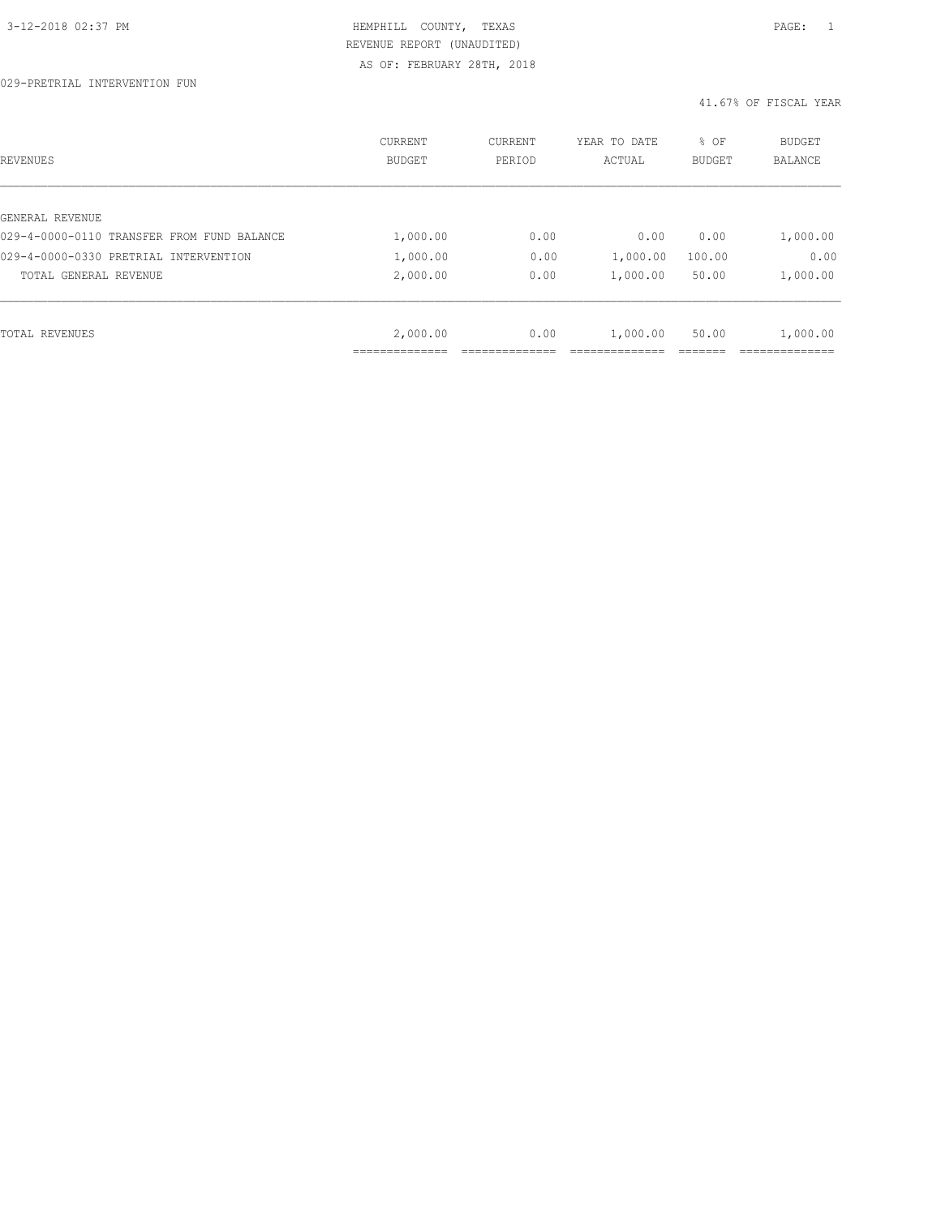029-PRETRIAL INTERVENTION FUN

| REVENUES                                   | <b>CURRENT</b><br><b>BUDGET</b> | CURRENT<br>PERIOD | YEAR TO DATE<br>ACTUAL | % OF<br><b>BUDGET</b> | BUDGET<br><b>BALANCE</b> |
|--------------------------------------------|---------------------------------|-------------------|------------------------|-----------------------|--------------------------|
|                                            |                                 |                   |                        |                       |                          |
| GENERAL REVENUE                            |                                 |                   |                        |                       |                          |
| 029-4-0000-0110 TRANSFER FROM FUND BALANCE | 1,000.00                        | 0.00              | 0.00                   | 0.00                  | 1,000.00                 |
| 029-4-0000-0330 PRETRIAL INTERVENTION      | 1,000.00                        | 0.00              | 1,000.00               | 100.00                | 0.00                     |
| TOTAL GENERAL REVENUE                      | 2,000.00                        | 0.00              | 1,000.00               | 50.00                 | 1,000.00                 |
|                                            |                                 |                   |                        |                       |                          |
| TOTAL REVENUES                             | 2,000.00                        | 0.00              | 1,000.00               | 50.00                 | 1,000.00                 |
|                                            |                                 |                   |                        |                       |                          |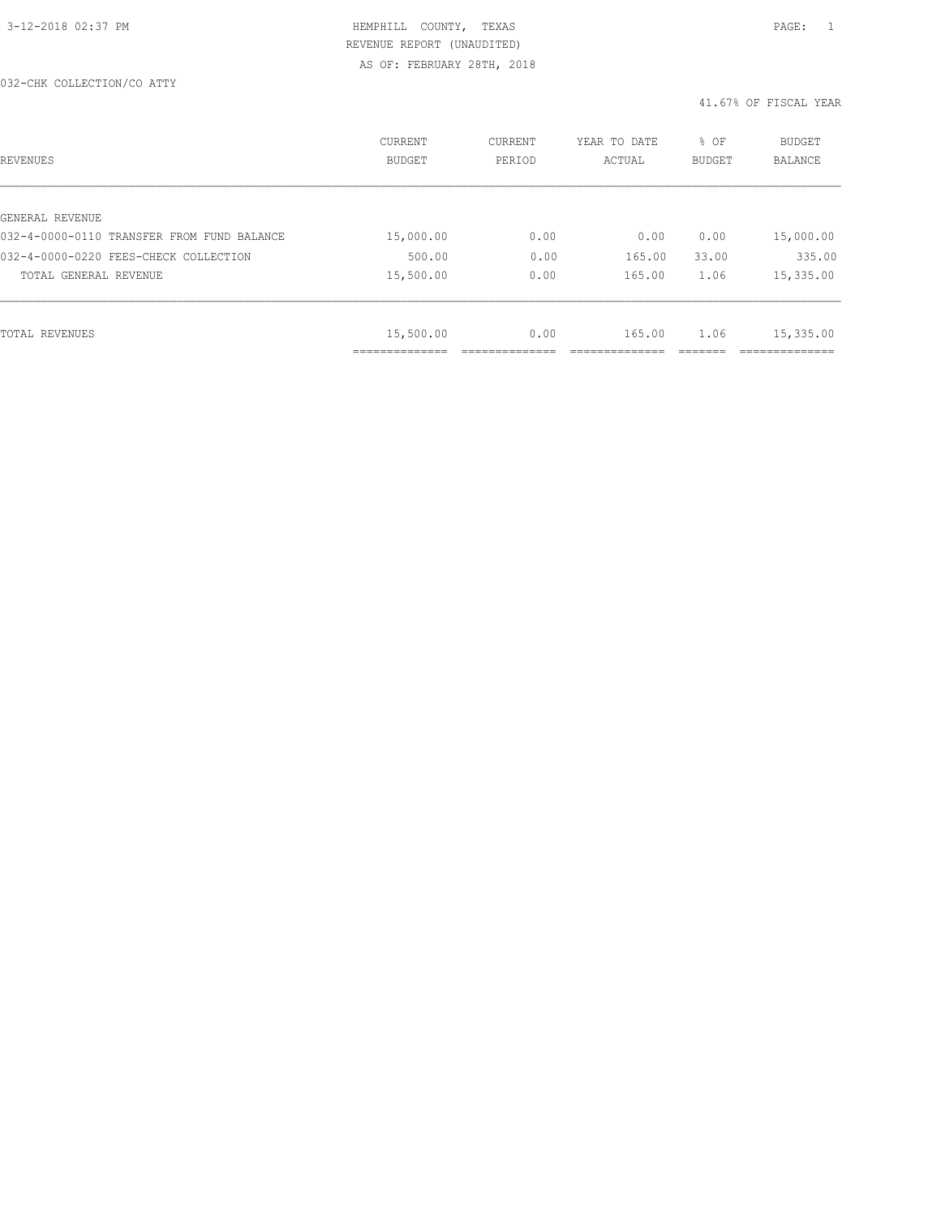#### 032-CHK COLLECTION/CO ATTY

| REVENUES                                   | <b>CURRENT</b><br><b>BUDGET</b> | CURRENT<br>PERIOD | YEAR TO DATE<br>ACTUAL | % OF<br><b>BUDGET</b> | BUDGET<br>BALANCE |
|--------------------------------------------|---------------------------------|-------------------|------------------------|-----------------------|-------------------|
|                                            |                                 |                   |                        |                       |                   |
| GENERAL REVENUE                            |                                 |                   |                        |                       |                   |
| 032-4-0000-0110 TRANSFER FROM FUND BALANCE | 15,000.00                       | 0.00              | 0.00                   | 0.00                  | 15,000.00         |
| 032-4-0000-0220 FEES-CHECK COLLECTION      | 500.00                          | 0.00              | 165.00                 | 33.00                 | 335.00            |
| TOTAL GENERAL REVENUE                      | 15,500.00                       | 0.00              | 165.00                 | 1.06                  | 15,335.00         |
|                                            |                                 |                   |                        |                       |                   |
| TOTAL REVENUES                             | 15,500.00                       | 0.00              | 165.00                 | 1.06                  | 15,335.00         |
|                                            | -------------                   |                   |                        |                       |                   |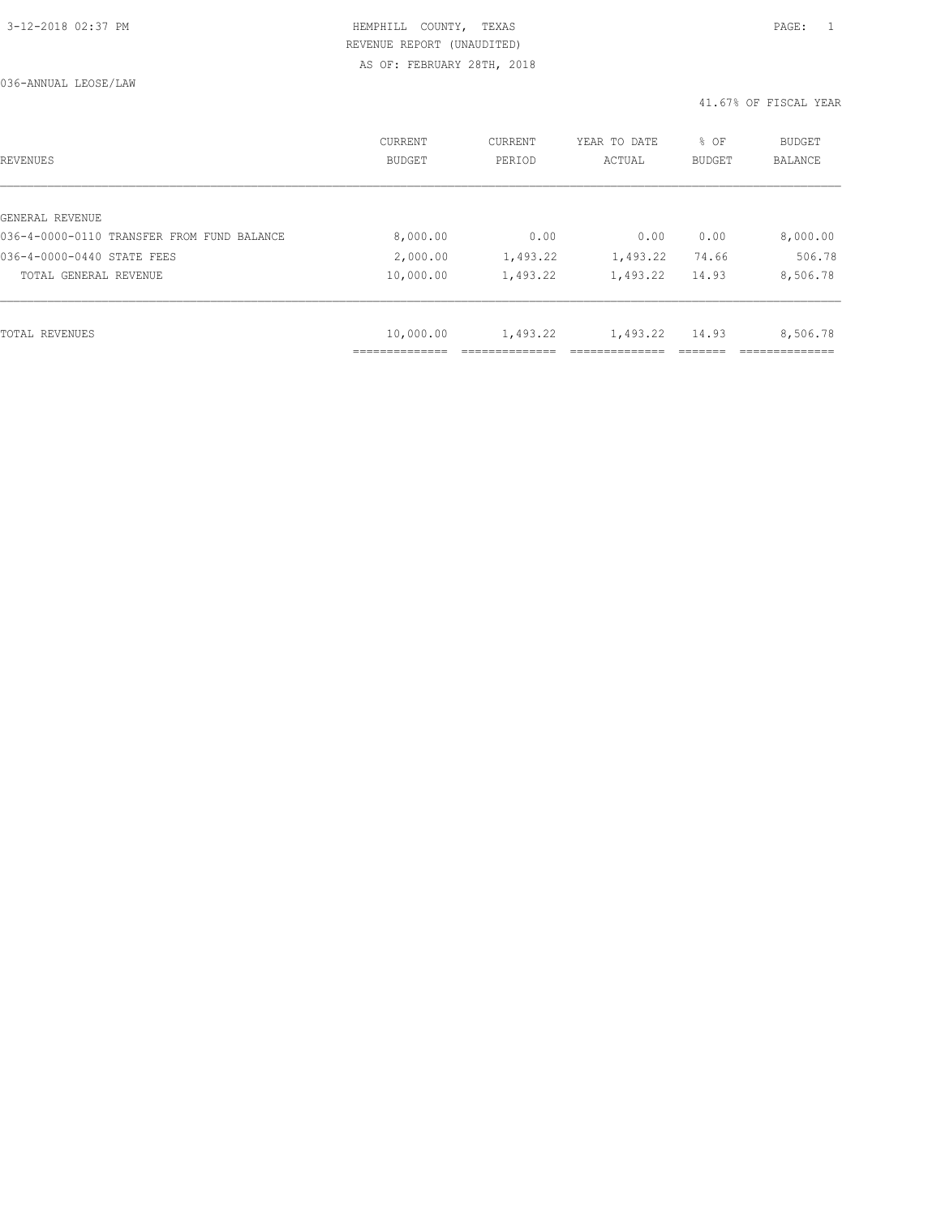036-ANNUAL LEOSE/LAW

| REVENUES                                   | <b>CURRENT</b><br><b>BUDGET</b> | CURRENT<br>PERIOD | YEAR TO DATE<br>ACTUAL | % OF<br><b>BUDGET</b> | BUDGET<br><b>BALANCE</b> |
|--------------------------------------------|---------------------------------|-------------------|------------------------|-----------------------|--------------------------|
|                                            |                                 |                   |                        |                       |                          |
| GENERAL REVENUE                            |                                 |                   |                        |                       |                          |
| 036-4-0000-0110 TRANSFER FROM FUND BALANCE | 8,000.00                        | 0.00              | 0.00                   | 0.00                  | 8,000.00                 |
| 036-4-0000-0440 STATE FEES                 | 2,000.00                        | 1,493.22          | 1,493.22               | 74.66                 | 506.78                   |
| TOTAL GENERAL REVENUE                      | 10,000.00                       | 1,493.22          | 1,493.22               | 14.93                 | 8,506.78                 |
|                                            |                                 |                   |                        |                       |                          |
| TOTAL REVENUES                             | 10,000.00                       | 1,493.22          | 1,493.22               | 14.93                 | 8,506.78                 |
|                                            |                                 |                   |                        |                       |                          |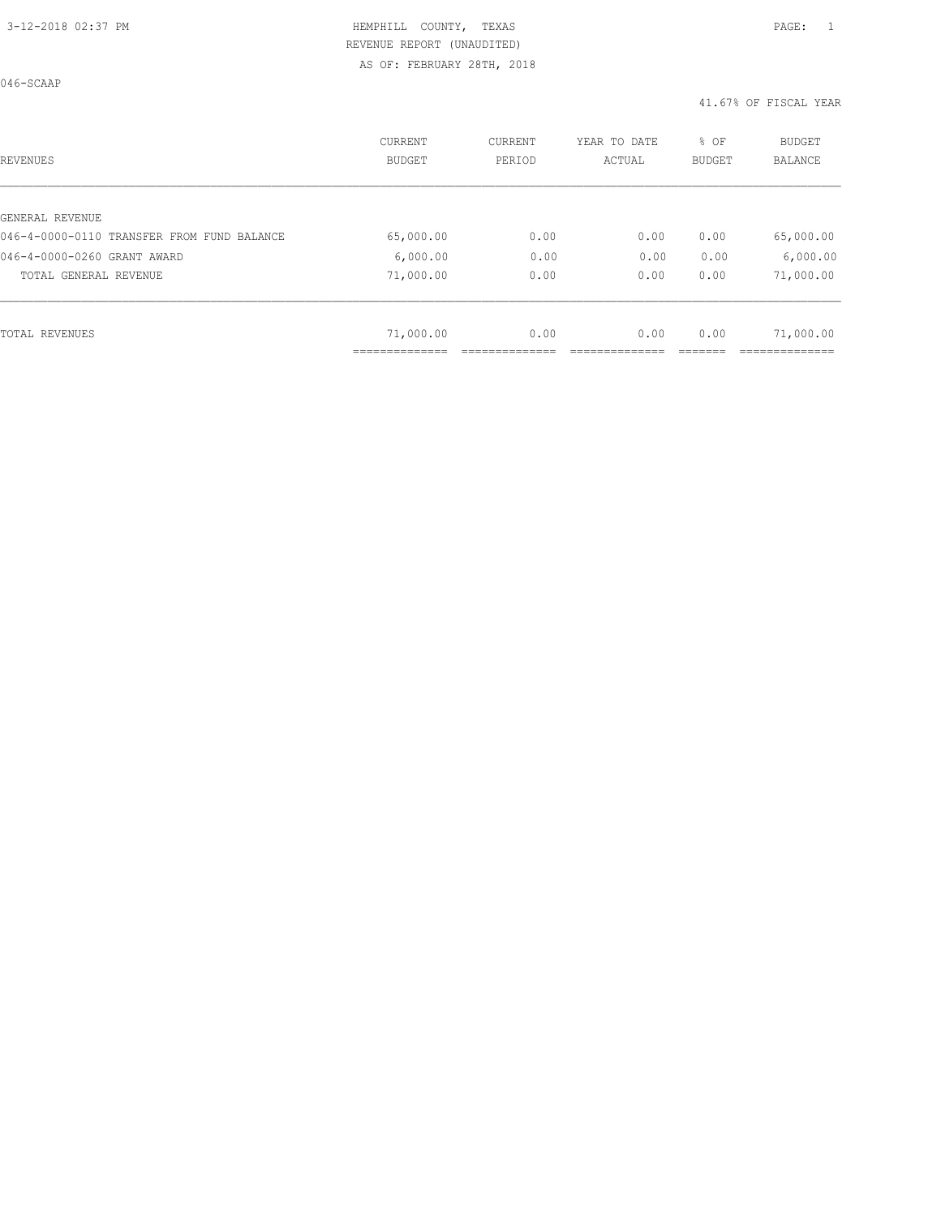046-SCAAP

| REVENUES                                   | CURRENT<br><b>BUDGET</b> | CURRENT<br>PERIOD | YEAR TO DATE<br>ACTUAL | % OF<br><b>BUDGET</b> | <b>BUDGET</b><br>BALANCE |
|--------------------------------------------|--------------------------|-------------------|------------------------|-----------------------|--------------------------|
|                                            |                          |                   |                        |                       |                          |
| GENERAL REVENUE                            |                          |                   |                        |                       |                          |
| 046-4-0000-0110 TRANSFER FROM FUND BALANCE | 65,000.00                | 0.00              | 0.00                   | 0.00                  | 65,000.00                |
| 046-4-0000-0260 GRANT AWARD                | 6,000.00                 | 0.00              | 0.00                   | 0.00                  | 6,000.00                 |
| TOTAL GENERAL REVENUE                      | 71,000.00                | 0.00              | 0.00                   | 0.00                  | 71,000.00                |
|                                            |                          |                   |                        |                       |                          |
| TOTAL REVENUES                             | 71,000.00                | 0.00              | 0.00                   | 0.00                  | 71,000.00                |
|                                            |                          |                   |                        |                       |                          |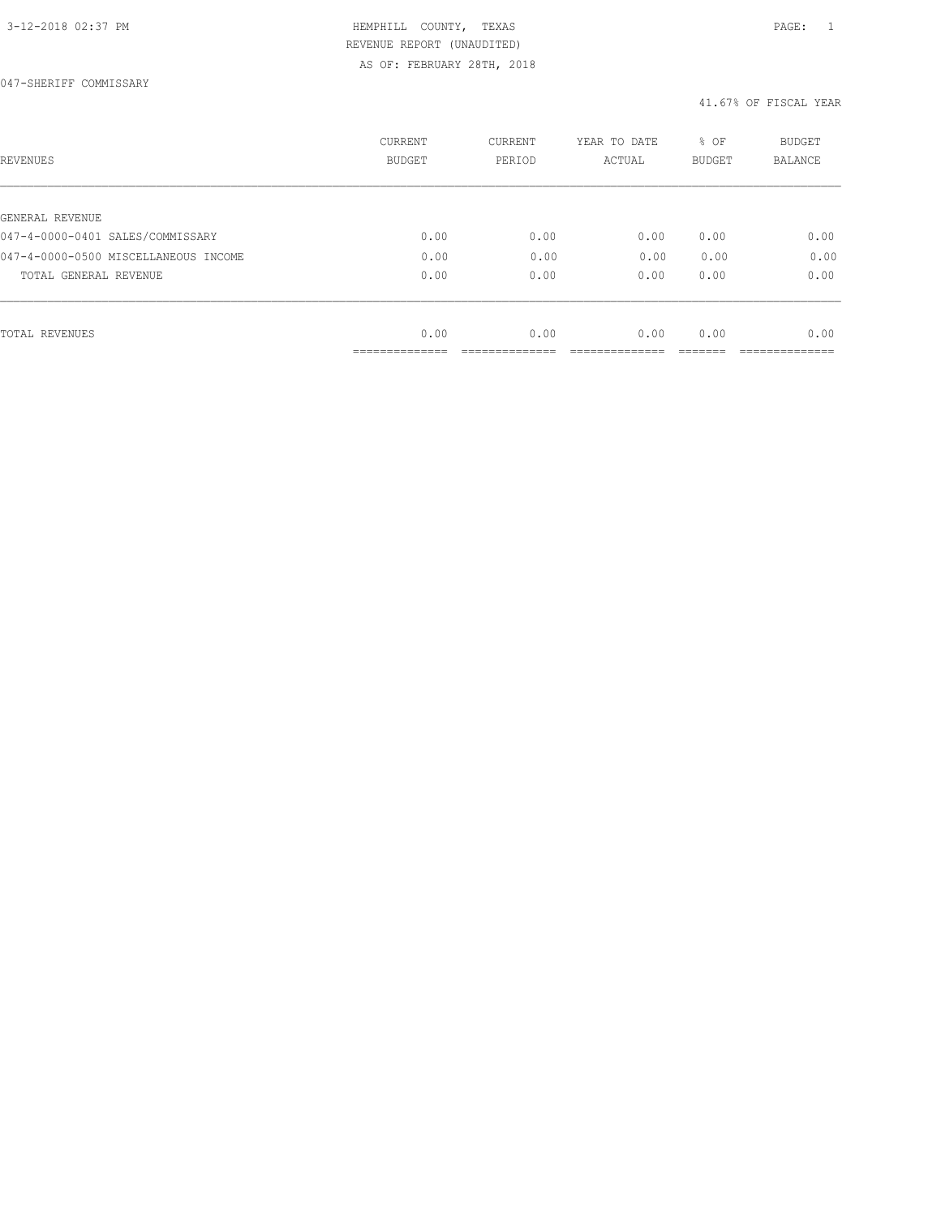| REVENUES                                            | <b>CURRENT</b><br><b>BUDGET</b> | CURRENT<br>PERIOD | YEAR TO DATE<br>ACTUAL | % OF<br><b>BUDGET</b> | <b>BUDGET</b><br>BALANCE |
|-----------------------------------------------------|---------------------------------|-------------------|------------------------|-----------------------|--------------------------|
|                                                     |                                 |                   |                        |                       |                          |
| GENERAL REVENUE<br>047-4-0000-0401 SALES/COMMISSARY | 0.00                            | 0.00              | 0.00                   | 0.00                  | 0.00                     |
| 047-4-0000-0500 MISCELLANEOUS INCOME                | 0.00                            | 0.00              | 0.00                   | 0.00                  | 0.00                     |
|                                                     |                                 |                   |                        |                       |                          |
| TOTAL GENERAL REVENUE                               | 0.00                            | 0.00              | 0.00                   | 0.00                  | 0.00                     |
|                                                     |                                 |                   |                        |                       |                          |
| TOTAL REVENUES                                      | 0.00                            | 0.00              | 0.00                   | 0.00                  | 0.00                     |
|                                                     | ____________                    |                   |                        |                       |                          |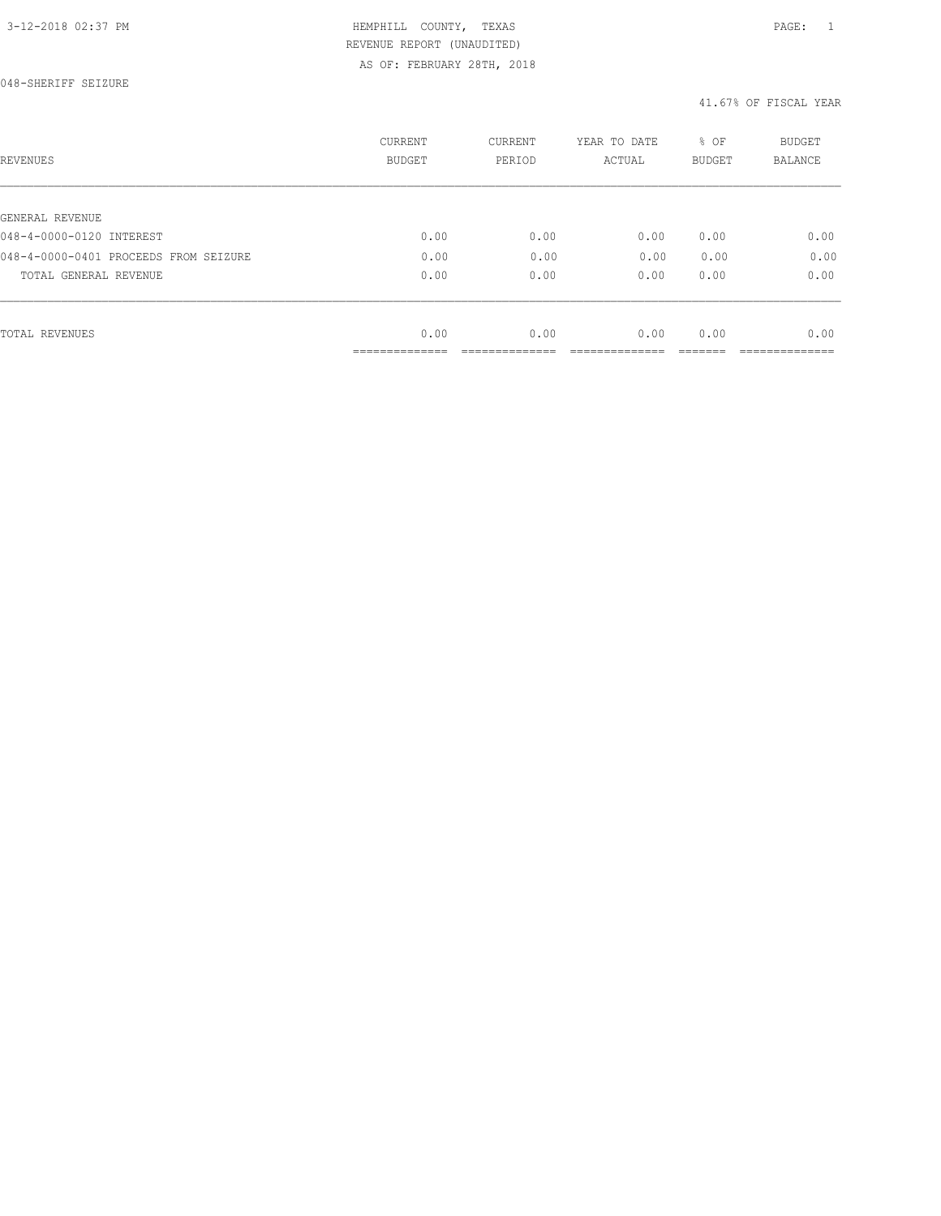| REVENUES                              | CURRENT<br><b>BUDGET</b> | CURRENT<br>PERIOD | YEAR TO DATE<br>ACTUAL | % OF<br>BUDGET | BUDGET<br><b>BALANCE</b> |
|---------------------------------------|--------------------------|-------------------|------------------------|----------------|--------------------------|
|                                       |                          |                   |                        |                |                          |
| GENERAL REVENUE                       |                          |                   |                        |                |                          |
| 048-4-0000-0120 INTEREST              | 0.00                     | 0.00              | 0.00                   | 0.00           | 0.00                     |
| 048-4-0000-0401 PROCEEDS FROM SEIZURE | 0.00                     | 0.00              | 0.00                   | 0.00           | 0.00                     |
| TOTAL GENERAL REVENUE                 | 0.00                     | 0.00              | 0.00                   | 0.00           | 0.00                     |
|                                       |                          |                   |                        |                |                          |
| TOTAL REVENUES                        | 0.00                     | 0.00              | 0.00                   | 0.00           | 0.00                     |
|                                       | ----------               |                   |                        |                |                          |